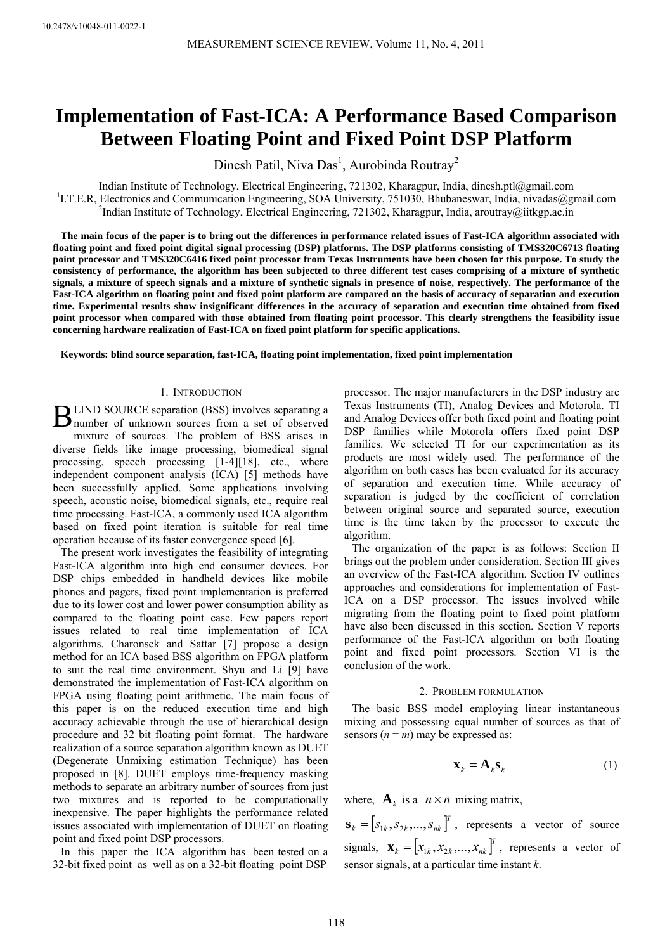# **Implementation of Fast-ICA: A Performance Based Comparison Between Floating Point and Fixed Point DSP Platform**

Dinesh Patil, Niva Das<sup>1</sup>, Aurobinda Routray<sup>2</sup>

Indian Institute of Technology, Electrical Engineering, 721302, Kharagpur, India, dinesh.ptl@gmail.com <sup>1</sup>I.T.E.R, Electronics and Communication Engineering, SOA University, 751030, Bhubaneswar, India, nivadas@gmail.com  $\ell$ Indian Institute of Technology, Electrical Engineering, 721302, Kharagpur, India, aroutray@iitkgp.ac.in

**The main focus of the paper is to bring out the differences in performance related issues of Fast-ICA algorithm associated with floating point and fixed point digital signal processing (DSP) platforms. The DSP platforms consisting of TMS320C6713 floating point processor and TMS320C6416 fixed point processor from Texas Instruments have been chosen for this purpose. To study the consistency of performance, the algorithm has been subjected to three different test cases comprising of a mixture of synthetic signals, a mixture of speech signals and a mixture of synthetic signals in presence of noise, respectively. The performance of the Fast-ICA algorithm on floating point and fixed point platform are compared on the basis of accuracy of separation and execution time. Experimental results show insignificant differences in the accuracy of separation and execution time obtained from fixed point processor when compared with those obtained from floating point processor. This clearly strengthens the feasibility issue concerning hardware realization of Fast-ICA on fixed point platform for specific applications.** 

**Keywords: blind source separation, fast-ICA, floating point implementation, fixed point implementation**

## 1. INTRODUCTION

LIND SOURCE separation (BSS) involves separating a **BLIND SOURCE separation (BSS) involves separating a** number of unknown sources from a set of observed mixture of sources. The problem of BSS arises in diverse fields like image processing, biomedical signal processing, speech processing [1-4][18], etc., where independent component analysis (ICA) [5] methods have been successfully applied. Some applications involving speech, acoustic noise, biomedical signals, etc., require real time processing. Fast-ICA, a commonly used ICA algorithm based on fixed point iteration is suitable for real time operation because of its faster convergence speed [6].

The present work investigates the feasibility of integrating Fast-ICA algorithm into high end consumer devices. For DSP chips embedded in handheld devices like mobile phones and pagers, fixed point implementation is preferred due to its lower cost and lower power consumption ability as compared to the floating point case. Few papers report issues related to real time implementation of ICA algorithms. Charonsek and Sattar [7] propose a design method for an ICA based BSS algorithm on FPGA platform to suit the real time environment. Shyu and Li [9] have demonstrated the implementation of Fast-ICA algorithm on FPGA using floating point arithmetic. The main focus of this paper is on the reduced execution time and high accuracy achievable through the use of hierarchical design procedure and 32 bit floating point format. The hardware realization of a source separation algorithm known as DUET (Degenerate Unmixing estimation Technique) has been proposed in [8]. DUET employs time-frequency masking methods to separate an arbitrary number of sources from just two mixtures and is reported to be computationally inexpensive. The paper highlights the performance related issues associated with implementation of DUET on floating point and fixed point DSP processors.

In this paper the ICA algorithm has been tested on a 32-bit fixed point as well as on a 32-bit floating point DSP

processor. The major manufacturers in the DSP industry are Texas Instruments (TI), Analog Devices and Motorola. TI and Analog Devices offer both fixed point and floating point DSP families while Motorola offers fixed point DSP families. We selected TI for our experimentation as its products are most widely used. The performance of the algorithm on both cases has been evaluated for its accuracy of separation and execution time. While accuracy of separation is judged by the coefficient of correlation between original source and separated source, execution time is the time taken by the processor to execute the algorithm.

The organization of the paper is as follows: Section II brings out the problem under consideration. Section III gives an overview of the Fast-ICA algorithm. Section IV outlines approaches and considerations for implementation of Fast-ICA on a DSP processor. The issues involved while migrating from the floating point to fixed point platform have also been discussed in this section. Section V reports performance of the Fast-ICA algorithm on both floating point and fixed point processors. Section VI is the conclusion of the work.

#### 2. PROBLEM FORMULATION

The basic BSS model employing linear instantaneous mixing and possessing equal number of sources as that of sensors  $(n = m)$  may be expressed as:

$$
\mathbf{x}_k = \mathbf{A}_k \mathbf{s}_k \tag{1}
$$

where,  $\mathbf{A}_k$  is a  $n \times n$  mixing matrix,

 $\mathbf{s}_k = [s_{1k}, s_{2k}, \dots, s_{nk}]^T$ , represents a vector of source signals,  $\mathbf{x}_k = [x_{1k}, x_{2k}, ..., x_{nk}]^T$ , represents a vector of sensor signals, at a particular time instant *k*.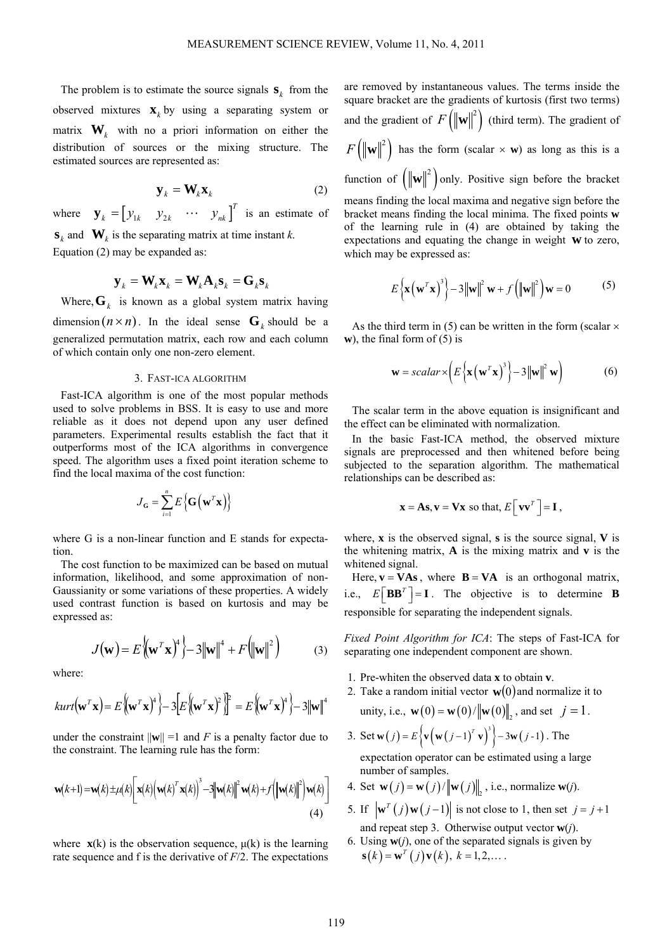The problem is to estimate the source signals  $\mathbf{s}_k$  from the observed mixtures  $\mathbf{x}_k$  by using a separating system or matrix  $\mathbf{W}_k$  with no a priori information on either the distribution of sources or the mixing structure. The estimated sources are represented as:

$$
\mathbf{y}_k = \mathbf{W}_k \mathbf{x}_k \tag{2}
$$

where  $\mathbf{y}_k = \begin{bmatrix} y_{1k} & y_{2k} & \cdots & y_{nk} \end{bmatrix}^T$  is an estimate of  $\mathbf{s}_k$  and  $\mathbf{W}_k$  is the separating matrix at time instant *k*. Equation (2) may be expanded as:

$$
\textbf{y}_{{}_k}=\textbf{W}_{{}_k}\textbf{x}_{{}_k}=\textbf{W}_{{}_k}\textbf{A}_{{}_k}\textbf{s}_{{}_k}=\textbf{G}_{{}_k}\textbf{s}_{{}_k}
$$

Where,  $\mathbf{G}_k$  is known as a global system matrix having dimension  $(n \times n)$ . In the ideal sense  $G_k$  should be a generalized permutation matrix, each row and each column of which contain only one non-zero element.

# 3. FAST-ICA ALGORITHM

Fast-ICA algorithm is one of the most popular methods used to solve problems in BSS. It is easy to use and more reliable as it does not depend upon any user defined parameters. Experimental results establish the fact that it outperforms most of the ICA algorithms in convergence speed. The algorithm uses a fixed point iteration scheme to find the local maxima of the cost function:

$$
J_{\mathbf{G}} = \sum_{i=1}^{n} E\left\{ \mathbf{G}\left(\mathbf{w}^{T}\mathbf{x}\right) \right\}
$$

where G is a non-linear function and E stands for expectation.

The cost function to be maximized can be based on mutual information, likelihood, and some approximation of non-Gaussianity or some variations of these properties. A widely used contrast function is based on kurtosis and may be expressed as:

$$
J(\mathbf{w}) = E\left\{ (\mathbf{w}^T \mathbf{x})^4 \right\} - 3\|\mathbf{w}\|^4 + F\left(\|\mathbf{w}\|^2\right) \tag{3}
$$

where:

$$
kurt(\mathbf{w}^T\mathbf{x}) = E\{(\mathbf{w}^T\mathbf{x})^4\} - 3[E\{(\mathbf{w}^T\mathbf{x})^2\}]^2 = E\{(\mathbf{w}^T\mathbf{x})^4\} - 3\|\mathbf{w}\|^4
$$

under the constraint  $\|\mathbf{w}\| = 1$  and *F* is a penalty factor due to the constraint. The learning rule has the form:

$$
\mathbf{w}(k+1) = \mathbf{w}(k) \pm \mu(k) \left[ \mathbf{x}(k) \left( \mathbf{w}(k)^T \mathbf{x}(k) \right)^3 - 3 \left\| \mathbf{w}(k) \right\|^2 \mathbf{w}(k) + f \left( \left\| \mathbf{w}(k) \right\|^2 \right) \mathbf{w}(k) \right]
$$
\n(4)

where  $\mathbf{x}(k)$  is the observation sequence,  $\mu(k)$  is the learning rate sequence and f is the derivative of *F*/2. The expectations

are removed by instantaneous values. The terms inside the square bracket are the gradients of kurtosis (first two terms) and the gradient of  $F(|\mathbf{w}|^2)$  (third term). The gradient of  $F(|\mathbf{w}|^2)$  has the form (scalar  $\times$  **w**) as long as this is a function of  $(\|\mathbf{w}\|^2)$  only. Positive sign before the bracket means finding the local maxima and negative sign before the bracket means finding the local minima. The fixed points **w** of the learning rule in (4) are obtained by taking the expectations and equating the change in weight **w** to zero,

$$
E\left\{\mathbf{x}\left(\mathbf{w}^{T}\mathbf{x}\right)^{3}\right\}-3\left\|\mathbf{w}\right\|^{2}\mathbf{w}+f\left(\left\|\mathbf{w}\right\|^{2}\right)\mathbf{w}=0
$$
 (5)

As the third term in (5) can be written in the form (scalar  $\times$ **w**), the final form of (5) is

which may be expressed as:

$$
\mathbf{w} = scalar \times \left( E\left\{ \mathbf{x} \left( \mathbf{w}^T \mathbf{x} \right)^3 \right\} - 3 \left\| \mathbf{w} \right\|^2 \mathbf{w} \right) \tag{6}
$$

The scalar term in the above equation is insignificant and the effect can be eliminated with normalization.

In the basic Fast-ICA method, the observed mixture signals are preprocessed and then whitened before being subjected to the separation algorithm. The mathematical relationships can be described as:

$$
\mathbf{x} = \mathbf{A}\mathbf{s}, \mathbf{v} = \mathbf{V}\mathbf{x} \text{ so that, } E\Big[\mathbf{v}\mathbf{v}^T\Big] = \mathbf{I},
$$

where, **x** is the observed signal, **s** is the source signal, **V** is the whitening matrix, **A** is the mixing matrix and **v** is the whitened signal.

Here,  $\mathbf{v} = \mathbf{V} \mathbf{A} \mathbf{s}$ , where  $\mathbf{B} = \mathbf{V} \mathbf{A}$  is an orthogonal matrix, i.e.,  $E[\mathbf{BB}^T] = \mathbf{I}$ . The objective is to determine **B** responsible for separating the independent signals.

*Fixed Point Algorithm for ICA*: The steps of Fast-ICA for separating one independent component are shown.

- 1. Pre-whiten the observed data **x** to obtain **v**.
- 2. Take a random initial vector  $\mathbf{w}(0)$  and normalize it to

unity, i.e., 
$$
\mathbf{w}(0) = \mathbf{w}(0) / ||\mathbf{w}(0)||_2
$$
, and set  $j = 1$ .

3. Set 
$$
\mathbf{w}(j) = E\left\{\mathbf{v}(\mathbf{w}(j-1)^T \mathbf{v})^3\right\} - 3\mathbf{w}(j-1)
$$
. The

expectation operator can be estimated using a large number of samples.

- 4. Set  $\mathbf{w}(j) = \mathbf{w}(j) / ||\mathbf{w}(j)||$ , i.e., normalize  $\mathbf{w}(j)$ .
- 5. If  $|\mathbf{w}^{T}(j) \mathbf{w}(j-1)|$  is not close to 1, then set  $j = j+1$ and repeat step 3. Otherwise output vector **w**(*j*).
- 6. Using  $w(j)$ , one of the separated signals is given by  $\mathbf{s}(k) = \mathbf{w}^T (i) \mathbf{v}(k), k = 1,2,...$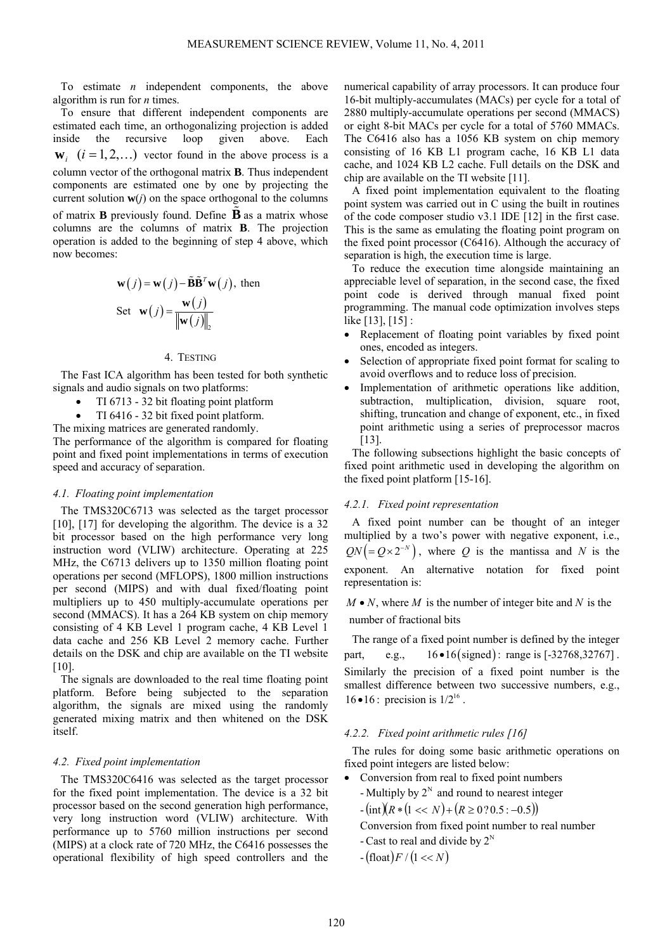To estimate *n* independent components, the above algorithm is run for *n* times.

To ensure that different independent components are estimated each time, an orthogonalizing projection is added inside the recursive loop given above. Each  $\mathbf{w}_{i}$   $(i = 1, 2, ...)$  vector found in the above process is a column vector of the orthogonal matrix **B**. Thus independent components are estimated one by one by projecting the current solution  $w(i)$  on the space orthogonal to the columns of matrix **B** previously found. Define  $\vec{B}$  as a matrix whose columns are the columns of matrix **B**. The projection operation is added to the beginning of step 4 above, which now becomes:

$$
\mathbf{w}(j) = \mathbf{w}(j) - \tilde{\mathbf{B}} \tilde{\mathbf{B}}^T \mathbf{w}(j), \text{ then}
$$
  
Set 
$$
\mathbf{w}(j) = \frac{\mathbf{w}(j)}{\|\mathbf{w}(j)\|_2}
$$

#### 4. TESTING

The Fast ICA algorithm has been tested for both synthetic signals and audio signals on two platforms:

- TI 6713 32 bit floating point platform
- TI 6416 32 bit fixed point platform.
- The mixing matrices are generated randomly.

The performance of the algorithm is compared for floating point and fixed point implementations in terms of execution speed and accuracy of separation.

#### *4.1. Floating point implementation*

The TMS320C6713 was selected as the target processor [10], [17] for developing the algorithm. The device is a 32 bit processor based on the high performance very long instruction word (VLIW) architecture. Operating at 225 MHz, the C6713 delivers up to 1350 million floating point operations per second (MFLOPS), 1800 million instructions per second (MIPS) and with dual fixed/floating point multipliers up to 450 multiply-accumulate operations per second (MMACS). It has a 264 KB system on chip memory consisting of 4 KB Level 1 program cache, 4 KB Level 1 data cache and 256 KB Level 2 memory cache. Further details on the DSK and chip are available on the TI website [10].

The signals are downloaded to the real time floating point platform. Before being subjected to the separation algorithm, the signals are mixed using the randomly generated mixing matrix and then whitened on the DSK itself.

#### *4.2. Fixed point implementation*

The TMS320C6416 was selected as the target processor for the fixed point implementation. The device is a 32 bit processor based on the second generation high performance, very long instruction word (VLIW) architecture. With performance up to 5760 million instructions per second (MIPS) at a clock rate of 720 MHz, the C6416 possesses the operational flexibility of high speed controllers and the

numerical capability of array processors. It can produce four 16-bit multiply-accumulates (MACs) per cycle for a total of 2880 multiply-accumulate operations per second (MMACS) or eight 8-bit MACs per cycle for a total of 5760 MMACs. The C6416 also has a 1056 KB system on chip memory consisting of 16 KB L1 program cache, 16 KB L1 data cache, and 1024 KB L2 cache. Full details on the DSK and chip are available on the TI website [11].

A fixed point implementation equivalent to the floating point system was carried out in C using the built in routines of the code composer studio v3.1 IDE [12] in the first case. This is the same as emulating the floating point program on the fixed point processor (C6416). Although the accuracy of separation is high, the execution time is large.

To reduce the execution time alongside maintaining an appreciable level of separation, in the second case, the fixed point code is derived through manual fixed point programming. The manual code optimization involves steps like [13], [15] :

- Replacement of floating point variables by fixed point ones, encoded as integers.
- Selection of appropriate fixed point format for scaling to avoid overflows and to reduce loss of precision.
- Implementation of arithmetic operations like addition, subtraction, multiplication, division, square root, shifting, truncation and change of exponent, etc., in fixed point arithmetic using a series of preprocessor macros [13].

The following subsections highlight the basic concepts of fixed point arithmetic used in developing the algorithm on the fixed point platform [15-16].

### *4.2.1. Fixed point representation*

A fixed point number can be thought of an integer multiplied by a two's power with negative exponent, i.e.,  $QN (= Q \times 2^{-N})$ , where *Q* is the mantissa and *N* is the exponent. An alternative notation for fixed point representation is:

 $M \bullet N$ , where M is the number of integer bite and N is the number of fractional bits

The range of a fixed point number is defined by the integer part, e.g.,  $16 \cdot 16$  (signed): range is  $[-32768, 32767]$ . Similarly the precision of a fixed point number is the smallest difference between two successive numbers, e.g.,  $16 \cdot 16$ : precision is  $1/2^{16}$ .

## *4.2.2. Fixed point arithmetic rules [16]*

The rules for doing some basic arithmetic operations on fixed point integers are listed below:

- Conversion from real to fixed point numbers
	- Multiply by  $2^N$  and round to nearest integer
	- $-(\text{int})(R * (1 < < N) + (R \ge 0.2005 : -0.5))$
	- Conversion from fixed point number to real number
	- Cast to real and divide by  $2^N$
	- $-(\text{float})F/(1 \ll N)$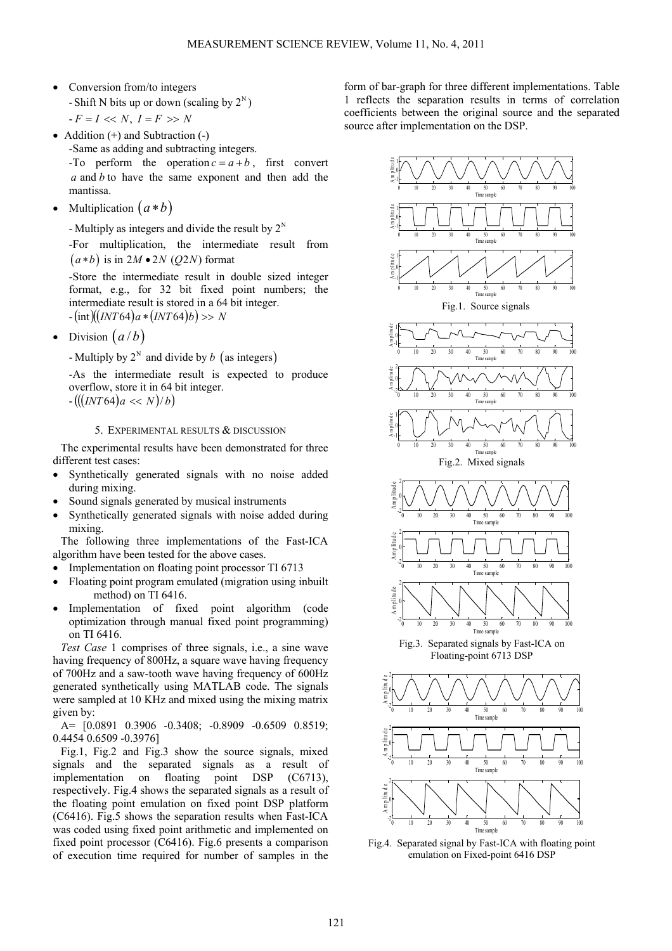- Conversion from/to integers - Shift N bits up or down (scaling by  $2^N$ )  $-F = I \ll N, I = F >> N$
- Addition (+) and Subtraction (-) -Same as adding and subtracting integers. -To perform the operation  $c = a + b$ , first convert *a* and *b* to have the same exponent and then add the mantissa.
- Multiplication  $(a * b)$

- Multiply as integers and divide the result by  $2^N$ 

-For multiplication, the intermediate result from  $(a * b)$  is in  $2M \cdot 2N$  (*Q2N*) format

-Store the intermediate result in double sized integer format, e.g., for 32 bit fixed point numbers; the intermediate result is stored in a 64 bit integer.  $-\frac{\ln \ln \ln (INT64) a * (INT64) b}{\ln \ln \ln (10^{10})}$ 

• Division  $(a/b)$ 

- Multiply by  $2^N$  and divide by b (as integers)

-As the intermediate result is expected to produce overflow, store it in 64 bit integer.

 $-($ ((*INT*64)*a* << *N*)/*b*)

# 5. EXPERIMENTAL RESULTS & DISCUSSION

The experimental results have been demonstrated for three different test cases:

- Synthetically generated signals with no noise added during mixing.
- Sound signals generated by musical instruments
- Synthetically generated signals with noise added during mixing.

The following three implementations of the Fast-ICA algorithm have been tested for the above cases.

- Implementation on floating point processor TI 6713
- Floating point program emulated (migration using inbuilt method) on TI 6416.
- Implementation of fixed point algorithm (code optimization through manual fixed point programming) on TI 6416.

*Test Case* 1 comprises of three signals, i.e., a sine wave having frequency of 800Hz, a square wave having frequency of 700Hz and a saw-tooth wave having frequency of 600Hz generated synthetically using MATLAB code. The signals were sampled at 10 KHz and mixed using the mixing matrix given by:

A= [0.0891 0.3906 -0.3408; -0.8909 -0.6509 0.8519; 0.4454 0.6509 -0.3976]

Fig.1, Fig.2 and Fig.3 show the source signals, mixed signals and the separated signals as a result of implementation on floating point DSP (C6713), respectively. Fig.4 shows the separated signals as a result of the floating point emulation on fixed point DSP platform (C6416). Fig.5 shows the separation results when Fast-ICA was coded using fixed point arithmetic and implemented on fixed point processor (C6416). Fig.6 presents a comparison of execution time required for number of samples in the

form of bar-graph for three different implementations. Table 1 reflects the separation results in terms of correlation coefficients between the original source and the separated source after implementation on the DSP.



Fig.4. Separated signal by Fast-ICA with floating point emulation on Fixed-point 6416 DSP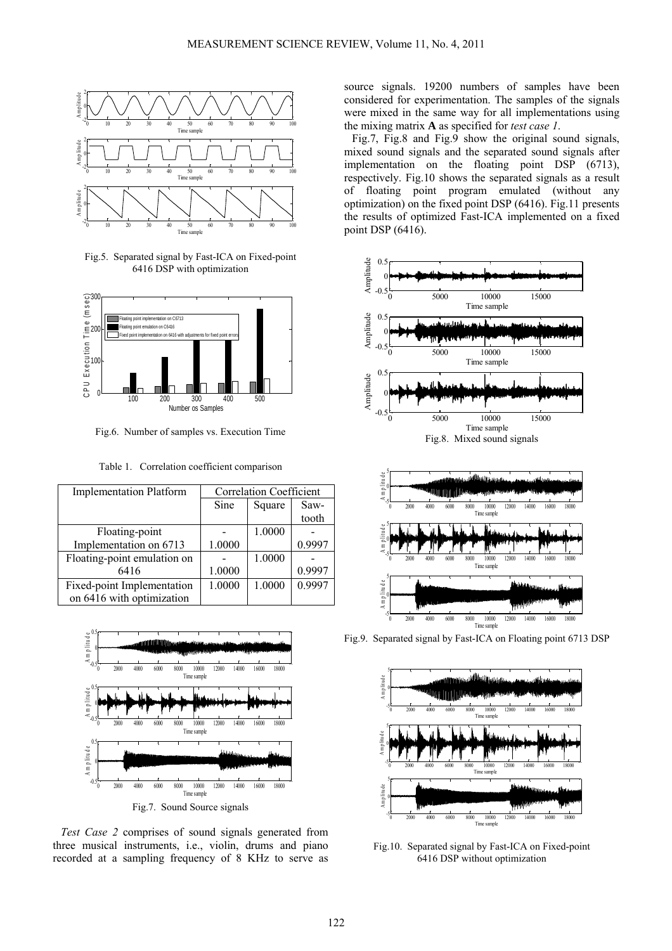

Fig.5. Separated signal by Fast-ICA on Fixed-point 6416 DSP with optimization



Fig.6. Number of samples vs. Execution Time

Table 1. Correlation coefficient comparison

| <b>Implementation Platform</b> | <b>Correlation Coefficient</b> |        |           |
|--------------------------------|--------------------------------|--------|-----------|
|                                | Sine                           | Square | Saw-      |
|                                |                                |        | tooth     |
| Floating-point                 |                                | 1.0000 |           |
| Implementation on 6713         | 1.0000                         |        | 0.9997    |
| Floating-point emulation on    |                                | 1.0000 |           |
| 6416                           | 1.0000                         |        | 0.9997    |
| Fixed-point Implementation     | 1.0000                         | 1.0000 | 0 9 9 9 7 |
| on 6416 with optimization      |                                |        |           |



*Test Case 2* comprises of sound signals generated from three musical instruments, i.e., violin, drums and piano recorded at a sampling frequency of 8 KHz to serve as

source signals. 19200 numbers of samples have been considered for experimentation. The samples of the signals were mixed in the same way for all implementations using the mixing matrix **A** as specified for *test case 1*.

Fig.7, Fig.8 and Fig.9 show the original sound signals, mixed sound signals and the separated sound signals after implementation on the floating point DSP (6713), respectively. Fig.10 shows the separated signals as a result of floating point program emulated (without any optimization) on the fixed point DSP (6416). Fig.11 presents the results of optimized Fast-ICA implemented on a fixed point DSP (6416).



Fig.9. Separated signal by Fast-ICA on Floating point 6713 DSP



Fig.10. Separated signal by Fast-ICA on Fixed-point 6416 DSP without optimization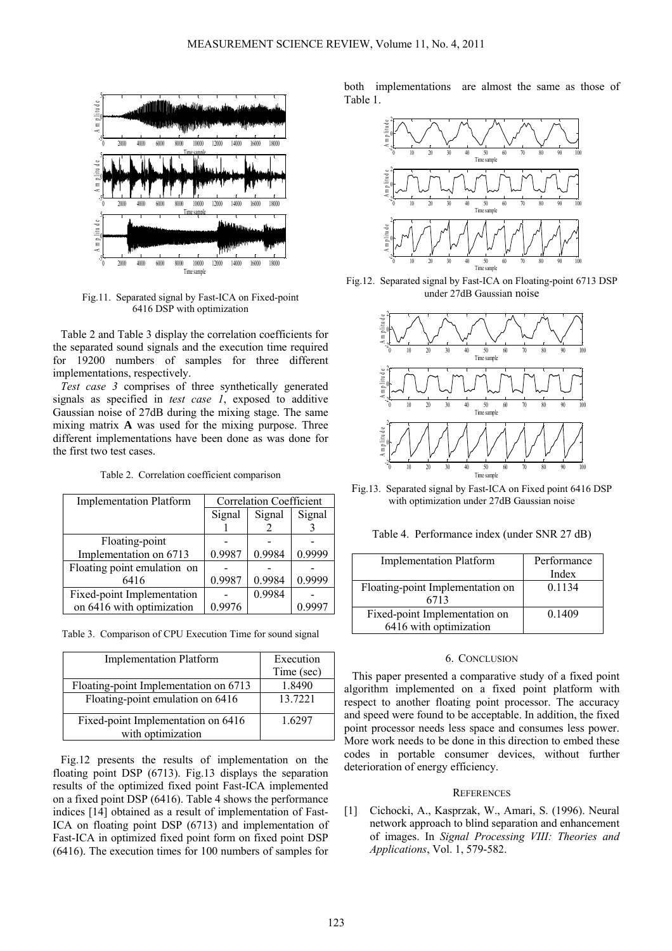

Fig.11. Separated signal by Fast-ICA on Fixed-point 6416 DSP with optimization

Table 2 and Table 3 display the correlation coefficients for the separated sound signals and the execution time required for 19200 numbers of samples for three different implementations, respectively.

*Test case 3* comprises of three synthetically generated signals as specified in *test case 1*, exposed to additive Gaussian noise of 27dB during the mixing stage. The same mixing matrix **A** was used for the mixing purpose. Three different implementations have been done as was done for the first two test cases.

Table 2. Correlation coefficient comparison

| <b>Implementation Platform</b> | <b>Correlation Coefficient</b> |        |         |
|--------------------------------|--------------------------------|--------|---------|
|                                | Signal                         | Signal | Signal  |
|                                |                                |        |         |
| Floating-point                 |                                |        |         |
| Implementation on 6713         | 0.9987                         | 0.9984 | 0.9999  |
| Floating point emulation on    |                                |        |         |
| 6416                           | 0.9987                         | 0.9984 | 0.9999  |
| Fixed-point Implementation     |                                | 0.9984 |         |
| on 6416 with optimization      | 0.9976                         |        | () 9997 |

|  | Table 3. Comparison of CPU Execution Time for sound signal |  |  |  |  |  |
|--|------------------------------------------------------------|--|--|--|--|--|
|--|------------------------------------------------------------|--|--|--|--|--|

| <b>Implementation Platform</b>                          | Execution  |  |
|---------------------------------------------------------|------------|--|
|                                                         | Time (sec) |  |
| Floating-point Implementation on 6713                   | 1.8490     |  |
| Floating-point emulation on 6416                        | 13.7221    |  |
| Fixed-point Implementation on 6416<br>with optimization | 1.6297     |  |

Fig.12 presents the results of implementation on the floating point DSP (6713). Fig.13 displays the separation results of the optimized fixed point Fast-ICA implemented on a fixed point DSP (6416). Table 4 shows the performance indices [14] obtained as a result of implementation of Fast-ICA on floating point DSP (6713) and implementation of Fast-ICA in optimized fixed point form on fixed point DSP (6416). The execution times for 100 numbers of samples for

both implementations are almost the same as those of Table 1.



Fig.12. Separated signal by Fast-ICA on Floating-point 6713 DSP under 27dB Gaussian noise



Fig.13. Separated signal by Fast-ICA on Fixed point 6416 DSP with optimization under 27dB Gaussian noise

Table 4. Performance index (under SNR 27 dB)

| <b>Implementation Platform</b>   | Performance |
|----------------------------------|-------------|
|                                  | Index       |
| Floating-point Implementation on | 0.1134      |
| 6713                             |             |
| Fixed-point Implementation on    | 0.1409      |
| 6416 with optimization           |             |

#### 6. CONCLUSION

This paper presented a comparative study of a fixed point algorithm implemented on a fixed point platform with respect to another floating point processor. The accuracy and speed were found to be acceptable. In addition, the fixed point processor needs less space and consumes less power. More work needs to be done in this direction to embed these codes in portable consumer devices, without further deterioration of energy efficiency.

#### **REFERENCES**

[1] Cichocki, A., Kasprzak, W., Amari, S. (1996). Neural network approach to blind separation and enhancement of images. In *Signal Processing VIII: Theories and Applications*, Vol. 1, 579-582.